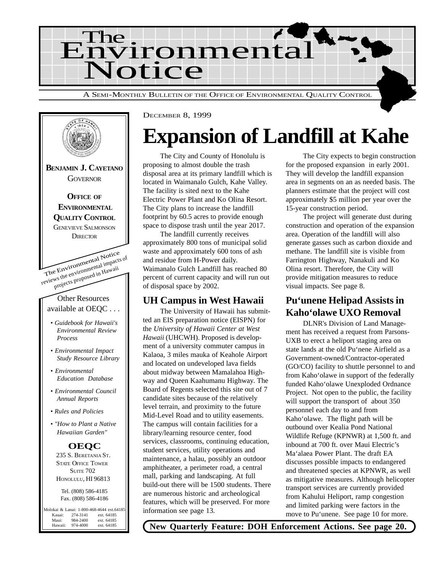



## **Expansion of Landfill at Kahe**

The City and County of Honolulu is proposing to almost double the trash disposal area at its primary landfill which is located in Waimanalo Gulch, Kahe Valley. The facility is sited next to the Kahe Electric Power Plant and Ko Olina Resort. The City plans to increase the landfill footprint by 60.5 acres to provide enough space to dispose trash until the year 2017.

The landfill currently receives approximately 800 tons of municipal solid waste and approximately 600 tons of ash and residue from H-Power daily. Waimanalo Gulch Landfill has reached 80 percent of current capacity and will run out of disposal space by 2002.

### **UH Campus in West Hawaii**

The University of Hawaii has submitted an EIS preparation notice (EISPN) for the *University of Hawaii Center at West Hawaii* (UHCWH). Proposed is development of a university commuter campus in Kalaoa, 3 miles mauka of Keahole Airport and located on undeveloped lava fields about midway between Mamalahoa Highway and Queen Kaahumanu Highway. The Board of Regents selected this site out of 7 candidate sites because of the relatively level terrain, and proximity to the future Mid-Level Road and to utility easements. The campus will contain facilities for a library/learning resource center, food services, classrooms, continuing education, student services, utility operations and maintenance, a halau, possibly an outdoor amphitheater, a perimeter road, a central mall, parking and landscaping. At full build-out there will be 1500 students. There are numerous historic and archeological features, which will be preserved. For more information see page 13.

The City expects to begin construction for the proposed expansion in early 2001. They will develop the landfill expansion area in segments on an as needed basis. The planners estimate that the project will cost approximately \$5 million per year over the 15-year construction period.

The project will generate dust during construction and operation of the expansion area. Operation of the landfill will also generate gasses such as carbon dioxide and methane. The landfill site is visible from Farrington Highway, Nanakuli and Ko Olina resort. Therefore, the City will provide mitigation measures to reduce visual impacts. See page 8.

### **Pu'unene Helipad Assists in Kaho'olawe UXO Removal**

DLNR's Division of Land Management has received a request from Parsons-UXB to erect a heliport staging area on state lands at the old Pu'nene Airfield as a Government-owned/Contractor-operated (GO/CO) facility to shuttle personnel to and from Kaho'olawe in support of the federally funded Kaho'olawe Unexploded Ordnance Project. Not open to the public, the facility will support the transport of about 350 personnel each day to and from Kaho'olawe. The flight path will be outbound over Kealia Pond National Wildlife Refuge (KPNWR) at 1,500 ft. and inbound at 700 ft. over Maui Electric's Ma'alaea Power Plant. The draft EA discusses possible impacts to endangered and threatened species at KPNWR, as well as mitigative measures. Although helicopter transport services are currently provided from Kahului Heliport, ramp congestion and limited parking were factors in the move to Pu'unene. See page 10 for more.

**New Quarterly Feature: DOH Enforcement Actions. See page 20.**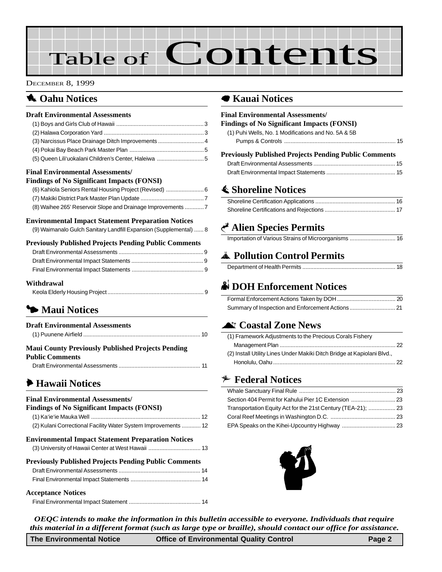# Table of Contents

#### DECEMBER 8, 1999

### **1** Oahu Notices

#### **Draft Environmental Assessments**

| (3) Narcissus Place Drainage Ditch Improvements                   |  |
|-------------------------------------------------------------------|--|
|                                                                   |  |
| (5) Queen Lili'uokalani Children's Center, Haleiwa 5              |  |
| <b>Final Environmental Assessments/</b>                           |  |
| <b>Findings of No Significant Impacts (FONSI)</b>                 |  |
| (6) Kahiola Seniors Rental Housing Project (Revised)  6           |  |
|                                                                   |  |
| (8) Waihee 265' Reservoir Slope and Drainage Improvements  7      |  |
| <b>Environmental Impact Statement Preparation Notices</b>         |  |
| (9) Waimanalo Gulch Sanitary Landfill Expansion (Supplemental)  8 |  |
| <b>Previously Published Projects Pending Public Comments</b>      |  |

#### **Withdrawal**

### 3 **Maui Notices**

| <b>Draft Environmental Assessments</b>                   |  |
|----------------------------------------------------------|--|
| <b>Maui County Previously Published Projects Pending</b> |  |
| <b>Public Comments</b>                                   |  |
|                                                          |  |

### 6 **[Hawaii Notices](#page-11-0)**

| <b>Final Environmental Assessments/</b><br><b>Findings of No Significant Impacts (FONSI)</b> |
|----------------------------------------------------------------------------------------------|
|                                                                                              |
| (2) Kulani Correctional Facility Water System Improvements  12                               |
| <b>Environmental Impact Statement Preparation Notices</b>                                    |
|                                                                                              |
| <b>Previously Published Projects Pending Public Comments</b>                                 |
|                                                                                              |
|                                                                                              |
| <b>Acceptance Notices</b>                                                                    |
|                                                                                              |

#### 7 **[Kauai Notices](#page-14-0)**

### **Final Environmental Assessments/ Findings of No Significant Impacts (FONSI)** [\(1\) Puhi Wells, No. 1 Modifications and No. 5A & 5B](#page-14-0) Pumps & Controls ...................................................................... 15 **Previously Published Projects Pending Public Comments** [Draft Environmental Assessments .................................................... 15](#page-14-0) [Draft Environmental Impact Statements ............................................ 15](#page-14-0) s **Shoreline Notices** Shoreline Certification Applications ................................................... 16 Shoreline Certifications and Rejections ............................................. 17 G **Alien Species Permits** Importation of Various Strains of Microorganisms ............................. 16 V **Pollution Control Permits**

### x **DOH Enforcement Notices**

#### ^ **Coastal Zone News**

| (1) Framework Adjustments to the Precious Corals Fishery                |  |
|-------------------------------------------------------------------------|--|
|                                                                         |  |
| (2) Install Utility Lines Under Makiki Ditch Bridge at Kapiolani Blvd., |  |
|                                                                         |  |

#### **<del>≢</del>** Federal Notices

| Transportation Equity Act for the 21st Century (TEA-21);  23 |  |
|--------------------------------------------------------------|--|
|                                                              |  |
|                                                              |  |



*OEQC intends to make the information in this bulletin accessible to everyone. Individuals that require this material in a different format (such as large type or braille), should contact our office for assistance.*

| <b>The Environmental Notice</b> | <b>Office of Environmental Quality Control</b> | Page 2 |
|---------------------------------|------------------------------------------------|--------|
|---------------------------------|------------------------------------------------|--------|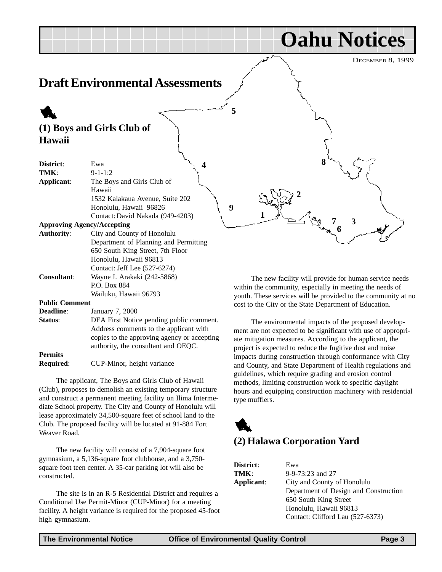<span id="page-2-0"></span>

**Required:** CUP-Minor, height variance

The applicant, The Boys and Girls Club of Hawaii (Club), proposes to demolish an existing temporary structure and construct a permanent meeting facility on Ilima Intermediate School property. The City and County of Honolulu will lease approximately 34,500-square feet of school land to the Club. The proposed facility will be located at 91-884 Fort Weaver Road.

The new facility will consist of a 7,904-square foot gymnasium, a 5,136-square foot clubhouse, and a 3,750 square foot teen center. A 35-car parking lot will also be constructed.

The site is in an R-5 Residential District and requires a Conditional Use Permit-Minor (CUP-Minor) for a meeting facility. A height variance is required for the proposed 45-foot high gymnasium.

youth. These services will be provided to the community at no

impacts during construction through conformance with City and County, and State Department of Health regulations and guidelines, which require grading and erosion control methods, limiting construction work to specific daylight hours and equipping construction machinery with residential type mufflers.

### 1 **(2) Halawa Corporation Yard**

| District:  | Ewa                                   |
|------------|---------------------------------------|
| TMK:       | 9-9-73:23 and 27                      |
| Applicant: | City and County of Honolulu           |
|            | Department of Design and Construction |
|            | 650 South King Street                 |
|            | Honolulu, Hawaii 96813                |
|            | Contact: Clifford Lau (527-6373)      |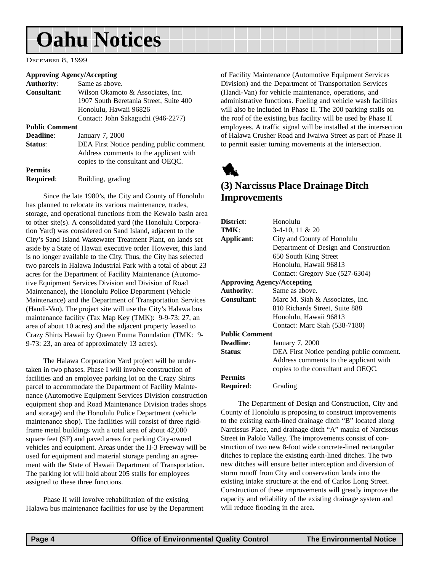## <span id="page-3-0"></span>**Oahu Notices**

DECEMBER 8, 1999

#### **Approving Agency/Accepting**

| DEA First Notice pending public comment. |
|------------------------------------------|
| Address comments to the applicant with   |
|                                          |
|                                          |
|                                          |
|                                          |

Since the late 1980's, the City and County of Honolulu has planned to relocate its various maintenance, trades, storage, and operational functions from the Kewalo basin area to other site(s). A consolidated yard (the Honolulu Corporation Yard) was considered on Sand Island, adjacent to the City's Sand Island Wastewater Treatment Plant, on lands set aside by a State of Hawaii executive order. However, this land is no longer available to the City. Thus, the City has selected two parcels in Halawa Industrial Park with a total of about 23 acres for the Department of Facility Maintenance (Automotive Equipment Services Division and Division of Road Maintenance), the Honolulu Police Department (Vehicle Maintenance) and the Department of Transportation Services (Handi-Van). The project site will use the City's Halawa bus maintenance facility (Tax Map Key (TMK): 9-9-73: 27, an area of about 10 acres) and the adjacent property leased to Crazy Shirts Hawaii by Queen Emma Foundation (TMK: 9- 9-73: 23, an area of approximately 13 acres).

The Halawa Corporation Yard project will be undertaken in two phases. Phase I will involve construction of facilities and an employee parking lot on the Crazy Shirts parcel to accommodate the Department of Facility Maintenance (Automotive Equipment Services Division construction equipment shop and Road Maintenance Division trades shops and storage) and the Honolulu Police Department (vehicle maintenance shop). The facilities will consist of three rigidframe metal buildings with a total area of about 42,000 square feet (SF) and paved areas for parking City-owned vehicles and equipment. Areas under the H-3 Freeway will be used for equipment and material storage pending an agreement with the State of Hawaii Department of Transportation. The parking lot will hold about 205 stalls for employees assigned to these three functions.

Phase II will involve rehabilitation of the existing Halawa bus maintenance facilities for use by the Department of Facility Maintenance (Automotive Equipment Services Division) and the Department of Transportation Services (Handi-Van) for vehicle maintenance, operations, and administrative functions. Fueling and vehicle wash facilities will also be included in Phase II. The 200 parking stalls on the roof of the existing bus facility will be used by Phase II employees. A traffic signal will be installed at the intersection of Halawa Crusher Road and Iwaiwa Street as part of Phase II to permit easier turning movements at the intersection.



#### **(3) Narcissus Place Drainage Ditch Improvements**

| District:                         | Honolulu                                 |
|-----------------------------------|------------------------------------------|
| TMK:                              | $3-4-10$ , 11 & 20                       |
| Applicant:                        | City and County of Honolulu              |
|                                   | Department of Design and Construction    |
|                                   | 650 South King Street                    |
|                                   | Honolulu, Hawaii 96813                   |
|                                   | Contact: Gregory Sue (527-6304)          |
| <b>Approving Agency/Accepting</b> |                                          |
| <b>Authority:</b>                 | Same as above.                           |
| <b>Consultant:</b>                | Marc M. Siah & Associates, Inc.          |
|                                   | 810 Richards Street, Suite 888           |
|                                   | Honolulu, Hawaii 96813                   |
|                                   | Contact: Marc Siah (538-7180)            |
| <b>Public Comment</b>             |                                          |
| Deadline:                         | January 7, 2000                          |
| Status:                           | DEA First Notice pending public comment. |
|                                   | Address comments to the applicant with   |
|                                   | copies to the consultant and OEQC.       |
| <b>Permits</b>                    |                                          |
| Required:                         | Grading                                  |
|                                   |                                          |

The Department of Design and Construction, City and County of Honolulu is proposing to construct improvements to the existing earth-lined drainage ditch "B" located along Narcissus Place, and drainage ditch "A" mauka of Narcissus Street in Palolo Valley. The improvements consist of construction of two new 8-foot wide concrete-lined rectangular ditches to replace the existing earth-lined ditches. The two new ditches will ensure better interception and diversion of storm runoff from City and conservation lands into the existing intake structure at the end of Carlos Long Street. Construction of these improvements will greatly improve the capacity and reliability of the existing drainage system and will reduce flooding in the area.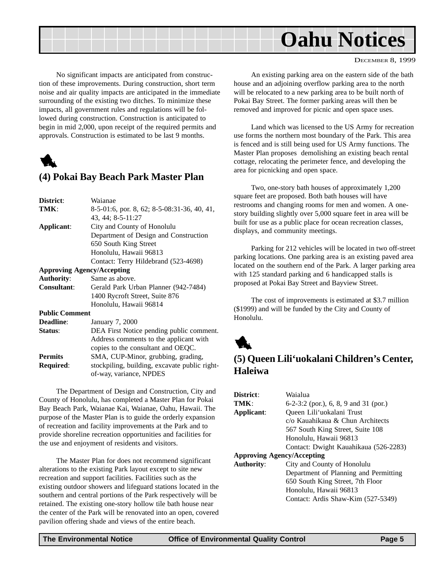<span id="page-4-0"></span>

No significant impacts are anticipated from construction of these improvements. During construction, short term noise and air quality impacts are anticipated in the immediate surrounding of the existing two ditches. To minimize these impacts, all government rules and regulations will be followed during construction. Construction is anticipated to begin in mid 2,000, upon receipt of the required permits and approvals. Construction is estimated to be last 9 months.



#### **(4) Pokai Bay Beach Park Master Plan**

| District:             | Waianae                                       |
|-----------------------|-----------------------------------------------|
| TMK:                  | 8-5-01:6, por. 8, 62; 8-5-08:31-36, 40, 41,   |
|                       | 43, 44; 8-5-11:27                             |
| Applicant:            | City and County of Honolulu                   |
|                       | Department of Design and Construction         |
|                       | 650 South King Street                         |
|                       | Honolulu, Hawaii 96813                        |
|                       | Contact: Terry Hildebrand (523-4698)          |
|                       | <b>Approving Agency/Accepting</b>             |
| <b>Authority:</b>     | Same as above.                                |
| <b>Consultant:</b>    | Gerald Park Urban Planner (942-7484)          |
|                       | 1400 Rycroft Street, Suite 876                |
|                       | Honolulu, Hawaii 96814                        |
| <b>Public Comment</b> |                                               |
| <b>Deadline:</b>      | January 7, 2000                               |
| Status:               | DEA First Notice pending public comment.      |
|                       | Address comments to the applicant with        |
|                       | copies to the consultant and OEQC.            |
| <b>Permits</b>        | SMA, CUP-Minor, grubbing, grading,            |
| <b>Required:</b>      | stockpiling, building, excavate public right- |
|                       | of-way, variance, NPDES                       |

The Department of Design and Construction, City and County of Honolulu, has completed a Master Plan for Pokai Bay Beach Park, Waianae Kai, Waianae, Oahu, Hawaii. The purpose of the Master Plan is to guide the orderly expansion of recreation and facility improvements at the Park and to provide shoreline recreation opportunities and facilities for the use and enjoyment of residents and visitors.

The Master Plan for does not recommend significant alterations to the existing Park layout except to site new recreation and support facilities. Facilities such as the existing outdoor showers and lifeguard stations located in the southern and central portions of the Park respectively will be retained. The existing one-story hollow tile bath house near the center of the Park will be renovated into an open, covered pavilion offering shade and views of the entire beach.

An existing parking area on the eastern side of the bath house and an adjoining overflow parking area to the north will be relocated to a new parking area to be built north of Pokai Bay Street. The former parking areas will then be removed and improved for picnic and open space uses.

Land which was licensed to the US Army for recreation use forms the northern most boundary of the Park. This area is fenced and is still being used for US Army functions. The Master Plan proposes demolishing an existing beach rental cottage, relocating the perimeter fence, and developing the area for picnicking and open space.

Two, one-story bath houses of approximately 1,200 square feet are proposed. Both bath houses will have restrooms and changing rooms for men and women. A onestory building slightly over 5,000 square feet in area will be built for use as a public place for ocean recreation classes, displays, and community meetings.

Parking for 212 vehicles will be located in two off-street parking locations. One parking area is an existing paved area located on the southern end of the Park. A larger parking area with 125 standard parking and 6 handicapped stalls is proposed at Pokai Bay Street and Bayview Street.

The cost of improvements is estimated at \$3.7 million (\$1999) and will be funded by the City and County of Honolulu.



### **(5) Queen Lili'uokalani Children's Center, Haleiwa**

| District:                         | Waialua                               |
|-----------------------------------|---------------------------------------|
| TMK:                              | 6-2-3:2 (por.), 6, 8, 9 and 31 (por.) |
| Applicant:                        | Queen Lili'uokalani Trust             |
|                                   | c/o Kauahikaua & Chun Architects      |
|                                   | 567 South King Street, Suite 108      |
|                                   | Honolulu, Hawaii 96813                |
|                                   | Contact: Dwight Kauahikaua (526-2283) |
| <b>Approving Agency/Accepting</b> |                                       |
| <b>Authority:</b>                 | City and County of Honolulu           |
|                                   | Department of Planning and Permitting |
|                                   | 650 South King Street, 7th Floor      |
|                                   | Honolulu, Hawaii 96813                |
|                                   | Contact: Ardis Shaw-Kim (527-5349)    |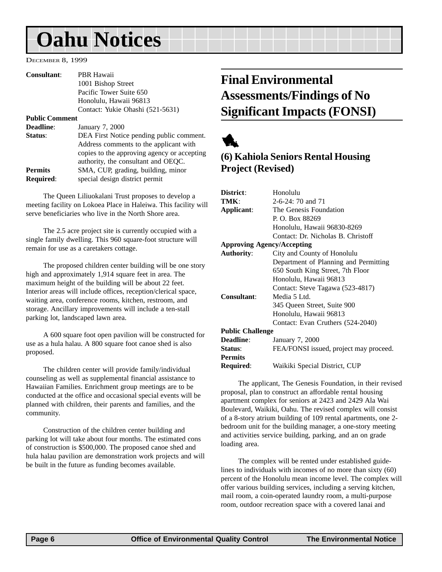## <span id="page-5-0"></span>**Oahu Notices**

DECEMBER 8, 1999

| Consultant:           | <b>PBR Hawaii</b>                                                                                                                                                        |
|-----------------------|--------------------------------------------------------------------------------------------------------------------------------------------------------------------------|
|                       | 1001 Bishop Street                                                                                                                                                       |
|                       | Pacific Tower Suite 650                                                                                                                                                  |
|                       | Honolulu, Hawaii 96813                                                                                                                                                   |
|                       | Contact: Yukie Ohashi (521-5631)                                                                                                                                         |
| <b>Public Comment</b> |                                                                                                                                                                          |
| <b>Deadline:</b>      | January 7, 2000                                                                                                                                                          |
| Status:               | DEA First Notice pending public comment.<br>Address comments to the applicant with<br>copies to the approving agency or accepting<br>authority, the consultant and OEQC. |
| <b>Permits</b>        | SMA, CUP, grading, building, minor                                                                                                                                       |
| <b>Required:</b>      | special design district permit                                                                                                                                           |

The Queen Liliuokalani Trust proposes to develop a meeting facility on Lokoea Place in Haleiwa. This facility will serve beneficiaries who live in the North Shore area.

The 2.5 acre project site is currently occupied with a single family dwelling. This 960 square-foot structure will remain for use as a caretakers cottage.

The proposed children center building will be one story high and approximately 1,914 square feet in area. The maximum height of the building will be about 22 feet. Interior areas will include offices, reception/clerical space, waiting area, conference rooms, kitchen, restroom, and storage. Ancillary improvements will include a ten-stall parking lot, landscaped lawn area.

A 600 square foot open pavilion will be constructed for use as a hula halau. A 800 square foot canoe shed is also proposed.

The children center will provide family/individual counseling as well as supplemental financial assistance to Hawaiian Families. Enrichment group meetings are to be conducted at the office and occasional special events will be planned with children, their parents and families, and the community.

Construction of the children center building and parking lot will take about four months. The estimated cons of construction is \$500,000. The proposed canoe shed and hula halau pavilion are demonstration work projects and will be built in the future as funding becomes available.

## **Final Environmental Assessments/Findings of No Significant Impacts (FONSI)**

1

### **(6) Kahiola Seniors Rental Housing Project (Revised)**

| District:                         | Honolulu                               |
|-----------------------------------|----------------------------------------|
| TMK:                              | $2-6-24:70$ and 71                     |
| Applicant:                        | The Genesis Foundation                 |
|                                   | P. O. Box 88269                        |
|                                   | Honolulu, Hawaii 96830-8269            |
|                                   | Contact: Dr. Nicholas B. Christoff     |
| <b>Approving Agency/Accepting</b> |                                        |
| <b>Authority:</b>                 | City and County of Honolulu            |
|                                   | Department of Planning and Permitting  |
|                                   | 650 South King Street, 7th Floor       |
|                                   | Honolulu, Hawaii 96813                 |
|                                   | Contact: Steve Tagawa (523-4817)       |
| Consultant:                       | Media 5 Ltd.                           |
|                                   | 345 Queen Street, Suite 900            |
|                                   | Honolulu, Hawaii 96813                 |
|                                   | Contact: Evan Cruthers (524-2040)      |
| <b>Public Challenge</b>           |                                        |
| <b>Deadline:</b>                  | January 7, 2000                        |
| Status:                           | FEA/FONSI issued, project may proceed. |
| Permits                           |                                        |

**Required**: Waikiki Special District, CUP

The applicant, The Genesis Foundation, in their revised proposal, plan to construct an affordable rental housing apartment complex for seniors at 2423 and 2429 Ala Wai Boulevard, Waikiki, Oahu. The revised complex will consist of a 8-story atrium building of 109 rental apartments, one 2 bedroom unit for the building manager, a one-story meeting and activities service building, parking, and an on grade loading area.

The complex will be rented under established guidelines to individuals with incomes of no more than sixty (60) percent of the Honolulu mean income level. The complex will offer various building services, including a serving kitchen, mail room, a coin-operated laundry room, a multi-purpose room, outdoor recreation space with a covered lanai and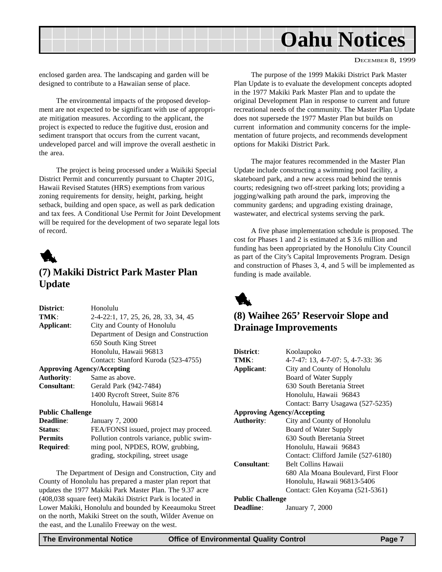<span id="page-6-0"></span>

enclosed garden area. The landscaping and garden will be designed to contribute to a Hawaiian sense of place.

The environmental impacts of the proposed development are not expected to be significant with use of appropriate mitigation measures. According to the applicant, the project is expected to reduce the fugitive dust, erosion and sediment transport that occurs from the current vacant, undeveloped parcel and will improve the overall aesthetic in the area.

The project is being processed under a Waikiki Special District Permit and concurrently pursuant to Chapter 201G, Hawaii Revised Statutes (HRS) exemptions from various zoning requirements for density, height, parking, height setback, building and open space, as well as park dedication and tax fees. A Conditional Use Permit for Joint Development will be required for the development of two separate legal lots of record.



#### **(7) Makiki District Park Master Plan Update**

| District:                         | Honolulu                                                               |
|-----------------------------------|------------------------------------------------------------------------|
| TMK:                              | 2-4-22:1, 17, 25, 26, 28, 33, 34, 45                                   |
| Applicant:                        | City and County of Honolulu                                            |
|                                   | Department of Design and Construction                                  |
|                                   | 650 South King Street                                                  |
|                                   | Honolulu, Hawaii 96813                                                 |
|                                   | Contact: Stanford Kuroda (523-4755)                                    |
| <b>Approving Agency/Accepting</b> |                                                                        |
| <b>Authority:</b>                 | Same as above.                                                         |
| <b>Consultant:</b>                | Gerald Park (942-7484)                                                 |
|                                   | 1400 Rycroft Street, Suite 876                                         |
|                                   | Honolulu, Hawaii 96814                                                 |
| <b>Public Challenge</b>           |                                                                        |
| Deadline:                         | January 7, 2000                                                        |
| Status:                           | FEA/FONSI issued, project may proceed.                                 |
| <b>Permits</b>                    | Pollution controls variance, public swim-                              |
| Required:                         | ming pool, NPDES, ROW, grubbing,<br>grading, stockpiling, street usage |
|                                   |                                                                        |

The Department of Design and Construction, City and County of Honolulu has prepared a master plan report that updates the 1977 Makiki Park Master Plan. The 9.37 acre (408,038 square feet) Makiki District Park is located in Lower Makiki, Honolulu and bounded by Keeaumoku Street on the north, Makiki Street on the south, Wilder Avenue on the east, and the Lunalilo Freeway on the west.

The purpose of the 1999 Makiki District Park Master Plan Update is to evaluate the development concepts adopted in the 1977 Makiki Park Master Plan and to update the original Development Plan in response to current and future recreational needs of the community. The Master Plan Update does not supersede the 1977 Master Plan but builds on current information and community concerns for the implementation of future projects, and recommends development options for Makiki District Park.

The major features recommended in the Master Plan Update include constructing a swimming pool facility, a skateboard park, and a new access road behind the tennis courts; redesigning two off-street parking lots; providing a jogging/walking path around the park, improving the community gardens; and upgrading existing drainage, wastewater, and electrical systems serving the park.

A five phase implementation schedule is proposed. The cost for Phases 1 and 2 is estimated at \$ 3.6 million and funding has been appropriated by the Honolulu City Council as part of the City's Capital Improvements Program. Design and construction of Phases 3, 4, and 5 will be implemented as funding is made available.



#### **(8) Waihee 265' Reservoir Slope and Drainage Improvements**

| District:                         | Koolaupoko                           |
|-----------------------------------|--------------------------------------|
| TMK:                              | 4-7-47: 13, 4-7-07: 5, 4-7-33: 36    |
| Applicant:                        | City and County of Honolulu          |
|                                   | Board of Water Supply                |
|                                   | 630 South Beretania Street           |
|                                   | Honolulu, Hawaii 96843               |
|                                   | Contact: Barry Usagawa (527-5235)    |
| <b>Approving Agency/Accepting</b> |                                      |
| <b>Authority:</b>                 | City and County of Honolulu          |
|                                   | Board of Water Supply                |
|                                   | 630 South Beretania Street           |
|                                   | Honolulu, Hawaii 96843               |
|                                   | Contact: Clifford Jamile (527-6180)  |
| Consultant:                       | <b>Belt Collins Hawaii</b>           |
|                                   | 680 Ala Moana Boulevard, First Floor |
|                                   | Honolulu, Hawaii 96813-5406          |
|                                   | Contact: Glen Koyama (521-5361)      |
| <b>Public Challenge</b>           |                                      |
| <b>Deadline:</b>                  | January 7, 2000                      |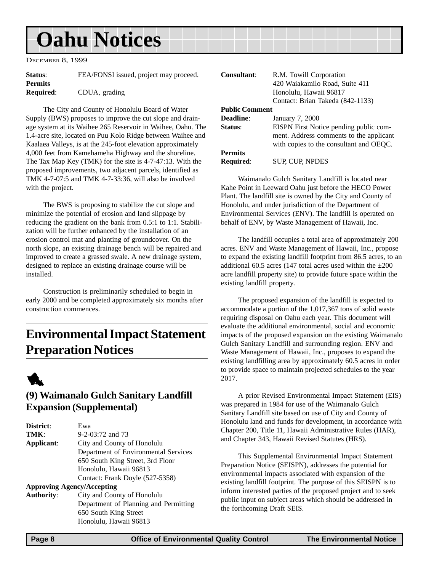## <span id="page-7-0"></span>**Oahu Notices**

DECEMBER 8, 1999

| <b>Status:</b>   | FEA/FONSI issued, project may proceed. |
|------------------|----------------------------------------|
| <b>Permits</b>   |                                        |
| <b>Required:</b> | CDUA, grading                          |

The City and County of Honolulu Board of Water Supply (BWS) proposes to improve the cut slope and drainage system at its Waihee 265 Reservoir in Waihee, Oahu. The 1.4-acre site, located on Puu Kolo Ridge between Waihee and Kaalaea Valleys, is at the 245-foot elevation approximately 4,000 feet from Kamehameha Highway and the shoreline. The Tax Map Key (TMK) for the site is 4-7-47:13. With the proposed improvements, two adjacent parcels, identified as TMK 4-7-07:5 and TMK 4-7-33:36, will also be involved with the project.

The BWS is proposing to stabilize the cut slope and minimize the potential of erosion and land slippage by reducing the gradient on the bank from 0.5:1 to 1:1. Stabilization will be further enhanced by the installation of an erosion control mat and planting of groundcover. On the north slope, an existing drainage bench will be repaired and improved to create a grassed swale. A new drainage system, designed to replace an existing drainage course will be installed.

Construction is preliminarily scheduled to begin in early 2000 and be completed approximately six months after construction commences.

## **Environmental Impact Statement Preparation Notices**



#### **(9) Waimanalo Gulch Sanitary Landfill Expansion (Supplemental)**

| District:                         | Ewa                                   |
|-----------------------------------|---------------------------------------|
| TMK:                              | $9-2-03:72$ and 73                    |
| Applicant:                        | City and County of Honolulu           |
|                                   | Department of Environmental Services  |
|                                   | 650 South King Street, 3rd Floor      |
|                                   | Honolulu, Hawaii 96813                |
|                                   | Contact: Frank Doyle (527-5358)       |
| <b>Approving Agency/Accepting</b> |                                       |
| <b>Authority:</b>                 | City and County of Honolulu           |
|                                   | Department of Planning and Permitting |
|                                   | 650 South King Street                 |
|                                   | Honolulu, Hawaii 96813                |

| Consultant:           | R.M. Towill Corporation<br>420 Waiakamilo Road, Suite 411                          |
|-----------------------|------------------------------------------------------------------------------------|
|                       | Honolulu, Hawaii 96817<br>Contact: Brian Takeda (842-1133)                         |
| <b>Public Comment</b> |                                                                                    |
| <b>Deadline:</b>      | January 7, 2000                                                                    |
| Status:               | EISPN First Notice pending public com-                                             |
|                       | ment. Address comments to the applicant<br>with copies to the consultant and OEQC. |
| <b>Permits</b>        |                                                                                    |
| <b>Required:</b>      | <b>SUP, CUP, NPDES</b>                                                             |

Waimanalo Gulch Sanitary Landfill is located near Kahe Point in Leeward Oahu just before the HECO Power Plant. The landfill site is owned by the City and County of Honolulu, and under jurisdiction of the Department of Environmental Services (ENV). The landfill is operated on behalf of ENV, by Waste Management of Hawaii, Inc.

The landfill occupies a total area of approximately 200 acres. ENV and Waste Management of Hawaii, Inc., propose to expand the existing landfill footprint from 86.5 acres, to an additional 60.5 acres (147 total acres used within the  $\pm 200$ acre landfill property site) to provide future space within the existing landfill property.

The proposed expansion of the landfill is expected to accommodate a portion of the 1,017,367 tons of solid waste requiring disposal on Oahu each year. This document will evaluate the additional environmental, social and economic impacts of the proposed expansion on the existing Waimanalo Gulch Sanitary Landfill and surrounding region. ENV and Waste Management of Hawaii, Inc., proposes to expand the existing landfilling area by approximately 60.5 acres in order to provide space to maintain projected schedules to the year 2017.

A prior Revised Environmental Impact Statement (EIS) was prepared in 1984 for use of the Waimanalo Gulch Sanitary Landfill site based on use of City and County of Honolulu land and funds for development, in accordance with Chapter 200, Title 11, Hawaii Administrative Rules (HAR), and Chapter 343, Hawaii Revised Statutes (HRS).

This Supplemental Environmental Impact Statement Preparation Notice (SEISPN), addresses the potential for environmental impacts associated with expansion of the existing landfill footprint. The purpose of this SEISPN is to inform interested parties of the proposed project and to seek public input on subject areas which should be addressed in the forthcoming Draft SEIS.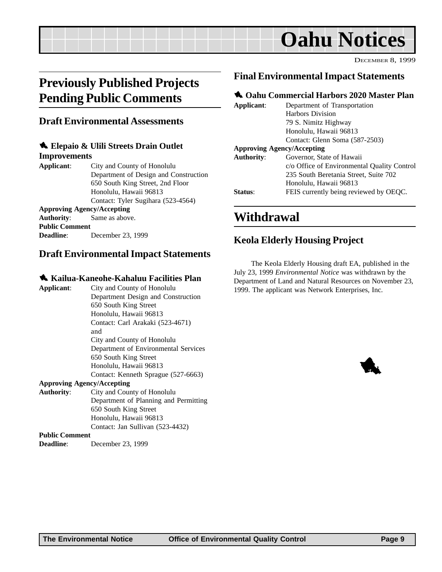## **Oahu Notices**

DECEMBER 8, 1999

## <span id="page-8-0"></span>**Previously Published Projects Pending Public Comments**

#### **Draft Environmental Assessments**

#### 1 **Elepaio & Ulili Streets Drain Outlet Improvements**

**Applicant**: City and County of Honolulu Department of Design and Construction 650 South King Street, 2nd Floor Honolulu, Hawaii 96813 Contact: Tyler Sugihara (523-4564) **Approving Agency/Accepting Authority**: Same as above.

#### **Public Comment**

**Deadline**: December 23, 1999

#### **Draft Environmental Impact Statements**

#### 1 **Kailua-Kaneohe-Kahaluu Facilities Plan**

**Applicant**: City and County of Honolulu Department Design and Construction 650 South King Street Honolulu, Hawaii 96813 Contact: Carl Arakaki (523-4671) and City and County of Honolulu Department of Environmental Services 650 South King Street Honolulu, Hawaii 96813 Contact: Kenneth Sprague (527-6663)

#### **Approving Agency/Accepting**

**Authority**: City and County of Honolulu Department of Planning and Permitting 650 South King Street Honolulu, Hawaii 96813 Contact: Jan Sullivan (523-4432)

#### **Public Comment**

**Deadline**: December 23, 1999

#### **Final Environmental Impact Statements**

#### 1 **Oahu Commercial Harbors 2020 Master Plan**

| Applicant:        | Department of Transportation                |
|-------------------|---------------------------------------------|
|                   | <b>Harbors Division</b>                     |
|                   | 79 S. Nimitz Highway                        |
|                   | Honolulu, Hawaii 96813                      |
|                   | Contact: Glenn Soma (587-2503)              |
|                   | <b>Approving Agency/Accepting</b>           |
| <b>Authority:</b> | Governor, State of Hawaii                   |
|                   | c/o Office of Environmental Quality Control |
|                   | 235 South Beretania Street, Suite 702       |
|                   | Honolulu, Hawaii 96813                      |
| Status:           | FEIS currently being reviewed by OEQC.      |

## **Withdrawal**

### **Keola Elderly Housing Project**

The Keola Elderly Housing draft EA, published in the July 23, 1999 *Environmental Notice* was withdrawn by the Department of Land and Natural Resources on November 23, 1999. The applicant was Network Enterprises, Inc.

1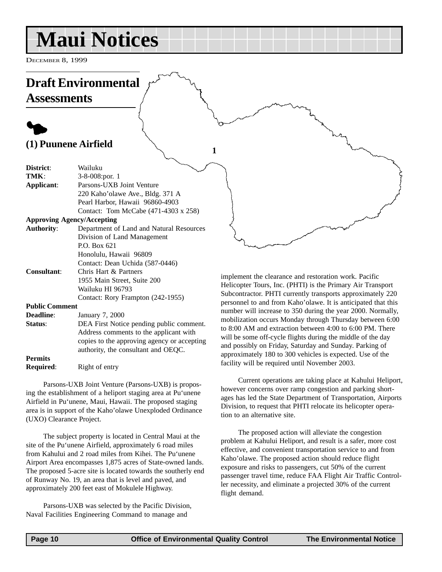## <span id="page-9-0"></span>**Maui Notices**

DECEMBER 8, 1999

### **Draft Environmental Assessments**

### $\blacklozenge$ **(1) Puunene Airfield**

| District:             | Wailuku                                     |
|-----------------------|---------------------------------------------|
| TMK:                  | 3-8-008:por. 1                              |
| Applicant:            | Parsons-UXB Joint Venture                   |
|                       | 220 Kaho'olawe Ave., Bldg. 371 A            |
|                       | Pearl Harbor, Hawaii 96860-4903             |
|                       | Contact: Tom McCabe (471-4303 x 258)        |
|                       | <b>Approving Agency/Accepting</b>           |
| <b>Authority:</b>     | Department of Land and Natural Resources    |
|                       | Division of Land Management                 |
|                       | P.O. Box 621                                |
|                       | Honolulu, Hawaii 96809                      |
|                       | Contact: Dean Uchida (587-0446)             |
| <b>Consultant:</b>    | Chris Hart & Partners                       |
|                       | 1955 Main Street, Suite 200                 |
|                       | Wailuku HI 96793                            |
|                       | Contact: Rory Frampton (242-1955)           |
| <b>Public Comment</b> |                                             |
| <b>Deadline:</b>      | January 7, 2000                             |
| Status:               | DEA First Notice pending public comment.    |
|                       | Address comments to the applicant with      |
|                       | copies to the approving agency or accepting |
|                       | authority, the consultant and OEQC.         |
| <b>Permits</b>        |                                             |
| Required:             | Right of entry                              |

Parsons-UXB Joint Venture (Parsons-UXB) is proposing the establishment of a heliport staging area at Pu'unene Airfield in Pu'unene, Maui, Hawaii. The proposed staging area is in support of the Kaho'olawe Unexploded Ordinance (UXO) Clearance Project.

The subject property is located in Central Maui at the site of the Pu'unene Airfield, approximately 6 road miles from Kahului and 2 road miles from Kihei. The Pu'unene Airport Area encompasses 1,875 acres of State-owned lands. The proposed 5-acre site is located towards the southerly end of Runway No. 19, an area that is level and paved, and approximately 200 feet east of Mokulele Highway.

Parsons-UXB was selected by the Pacific Division, Naval Facilities Engineering Command to manage and

implement the clearance and restoration work. Pacific Helicopter Tours, Inc. (PHTI) is the Primary Air Transport Subcontractor. PHTI currently transports approximately 220 personnel to and from Kaho'olawe. It is anticipated that this number will increase to 350 during the year 2000. Normally, mobilization occurs Monday through Thursday between 6:00 to 8:00 AM and extraction between 4:00 to 6:00 PM. There will be some off-cycle flights during the middle of the day and possibly on Friday, Saturday and Sunday. Parking of approximately 180 to 300 vehicles is expected. Use of the facility will be required until November 2003.

Current operations are taking place at Kahului Heliport, however concerns over ramp congestion and parking shortages has led the State Department of Transportation, Airports Division, to request that PHTI relocate its helicopter operation to an alternative site.

The proposed action will alleviate the congestion problem at Kahului Heliport, and result is a safer, more cost effective, and convenient transportation service to and from Kaho'olawe. The proposed action should reduce flight exposure and risks to passengers, cut 50% of the current passenger travel time, reduce FAA Flight Air Traffic Controller necessity, and eliminate a projected 30% of the current flight demand.

**1**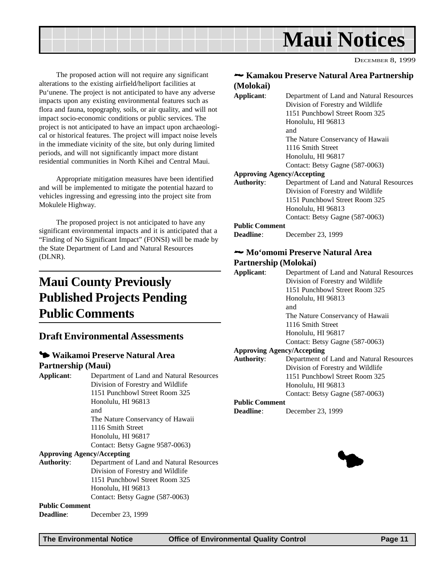

<span id="page-10-0"></span>The proposed action will not require any significant alterations to the existing airfield/heliport facilities at Pu'unene. The project is not anticipated to have any adverse impacts upon any existing environmental features such as flora and fauna, topography, soils, or air quality, and will not impact socio-economic conditions or public services. The project is not anticipated to have an impact upon archaeological or historical features. The project will impact noise levels in the immediate vicinity of the site, but only during limited periods, and will not significantly impact more distant residential communities in North Kihei and Central Maui.

Appropriate mitigation measures have been identified and will be implemented to mitigate the potential hazard to vehicles ingressing and egressing into the project site from Mokulele Highway.

The proposed project is not anticipated to have any significant environmental impacts and it is anticipated that a "Finding of No Significant Impact" (FONSI) will be made by the State Department of Land and Natural Resources (DLNR).

## **Maui County Previously Published Projects Pending Public Comments**

#### **Draft Environmental Assessments**

#### 3 **Waikamoi Preserve Natural Area Partnership (Maui) Applicant**: Department of Land and Natural Resources Division of Forestry and Wildlife 1151 Punchbowl Street Room 325

|            | 1191 I GIRIDOWI BUCCI ROOM 929           |
|------------|------------------------------------------|
|            | Honolulu, HI 96813                       |
|            | and                                      |
|            | The Nature Conservancy of Hawaii         |
|            | 1116 Smith Street                        |
|            | Honolulu, HI 96817                       |
|            | Contact: Betsy Gagne 9587-0063)          |
|            | <b>Approving Agency/Accepting</b>        |
| Authority: | Department of Land and Natural Resources |
|            | Division of Forestry and Wildlife        |
|            | 1151 Punchbowl Street Room 325           |
|            | Honolulu, HI 96813                       |
|            | Contact: Betsy Gagne (587-0063)          |
|            |                                          |

#### **Public Comment**

#### **Deadline**: December 23, 1999

#### 2 **Kamakou Preserve Natural Area Partnership (Molokai)**

| Applicant:                        | Department of Land and Natural Resources |
|-----------------------------------|------------------------------------------|
|                                   | Division of Forestry and Wildlife        |
|                                   | 1151 Punchbowl Street Room 325           |
|                                   | Honolulu, HI 96813                       |
|                                   | and                                      |
|                                   | The Nature Conservancy of Hawaii         |
|                                   | 1116 Smith Street                        |
|                                   | Honolulu, HI 96817                       |
|                                   | Contact: Betsy Gagne (587-0063)          |
| <b>Approving Agency/Accepting</b> |                                          |
| <b>Authority:</b>                 | Department of Land and Natural Resources |
|                                   | Division of Forestry and Wildlife        |
|                                   | 1151 Punchbowl Street Room 325           |
|                                   | Honolulu, HI 96813                       |
|                                   | Contact: Betsy Gagne (587-0063)          |
| <b>Public Comment</b>             |                                          |
| <b>Deadline:</b>                  | December 23, 1999                        |

## 2 **Mo'omomi Preserve Natural Area**

### **Partnership (Molokai)**

| Applicant: | Department of Land and Natural Resources |
|------------|------------------------------------------|
|            | Division of Forestry and Wildlife        |
|            | 1151 Punchbowl Street Room 325           |
|            | Honolulu, HI 96813                       |
|            | and                                      |
|            | The Nature Conservancy of Hawaii         |
|            | 1116 Smith Street                        |
|            | Honolulu, HI 96817                       |
|            | Contact: Betsy Gagne (587-0063)          |
|            | <b>Approving Agency/Accepting</b>        |
| Authority: | Department of Land and Natural Resources |

Division of Forestry and Wildlife 1151 Punchbowl Street Room 325

Honolulu, HI 96813 Contact: Betsy Gagne (587-0063)

**Public Comment**

**Deadline**: December 23, 1999

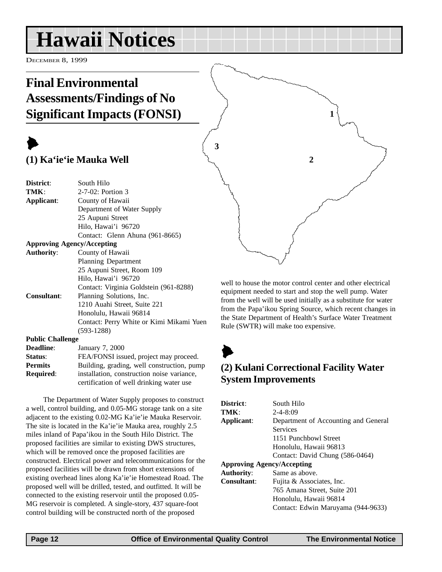## <span id="page-11-0"></span>**Hawaii Notices**

DECEMBER 8, 1999

## **Final Environmental Assessments/Findings of No Significant Impacts (FONSI)**

## $\blacktriangleright$

### **(1) Ka'ie'ie Mauka Well**

| District:                                                                                                                                                                                                                                                                                                   | South Hilo                               |
|-------------------------------------------------------------------------------------------------------------------------------------------------------------------------------------------------------------------------------------------------------------------------------------------------------------|------------------------------------------|
| TMK:                                                                                                                                                                                                                                                                                                        | 2-7-02: Portion 3                        |
| Applicant:                                                                                                                                                                                                                                                                                                  | County of Hawaii                         |
|                                                                                                                                                                                                                                                                                                             | Department of Water Supply               |
|                                                                                                                                                                                                                                                                                                             | 25 Aupuni Street                         |
|                                                                                                                                                                                                                                                                                                             | Hilo, Hawai'i 96720                      |
|                                                                                                                                                                                                                                                                                                             | Contact: Glenn Ahuna (961-8665)          |
|                                                                                                                                                                                                                                                                                                             | <b>Approving Agency/Accepting</b>        |
| <b>Authority:</b>                                                                                                                                                                                                                                                                                           | County of Hawaii                         |
|                                                                                                                                                                                                                                                                                                             | <b>Planning Department</b>               |
|                                                                                                                                                                                                                                                                                                             | 25 Aupuni Street, Room 109               |
|                                                                                                                                                                                                                                                                                                             | Hilo, Hawai'i 96720                      |
|                                                                                                                                                                                                                                                                                                             | Contact: Virginia Goldstein (961-8288)   |
| <b>Consultant:</b>                                                                                                                                                                                                                                                                                          | Planning Solutions, Inc.                 |
|                                                                                                                                                                                                                                                                                                             | 1210 Auahi Street, Suite 221             |
|                                                                                                                                                                                                                                                                                                             | Honolulu, Hawaii 96814                   |
|                                                                                                                                                                                                                                                                                                             | Contact: Perry White or Kimi Mikami Yuen |
|                                                                                                                                                                                                                                                                                                             | $(593-1288)$                             |
| <b>Public Challenge</b>                                                                                                                                                                                                                                                                                     |                                          |
| <b>Deadline:</b>                                                                                                                                                                                                                                                                                            | <b>January 7, 2000</b>                   |
| $\mathbf{C}$ + $\mathbf{A}$ + $\mathbf{A}$ + $\mathbf{A}$ + $\mathbf{A}$ + $\mathbf{A}$ + $\mathbf{A}$ + $\mathbf{A}$ + $\mathbf{A}$ + $\mathbf{A}$ + $\mathbf{A}$ + $\mathbf{A}$ + $\mathbf{A}$ + $\mathbf{A}$ + $\mathbf{A}$ + $\mathbf{A}$ + $\mathbf{A}$ + $\mathbf{A}$ + $\mathbf{A}$ + $\mathbf{A}$ + |                                          |

| Status:          | FEA/FONSI issued, project may proceed.     |
|------------------|--------------------------------------------|
| <b>Permits</b>   | Building, grading, well construction, pump |
| <b>Required:</b> | installation, construction noise variance, |
|                  | certification of well drinking water use   |

The Department of Water Supply proposes to construct a well, control building, and 0.05-MG storage tank on a site adjacent to the existing 0.02-MG Ka'ie'ie Mauka Reservoir. The site is located in the Ka'ie'ie Mauka area, roughly 2.5 miles inland of Papa'ikou in the South Hilo District. The proposed facilities are similar to existing DWS structures, which will be removed once the proposed facilities are constructed. Electrical power and telecommunications for the proposed facilities will be drawn from short extensions of existing overhead lines along Ka'ie'ie Homestead Road. The proposed well will be drilled, tested, and outfitted. It will be connected to the existing reservoir until the proposed 0.05- MG reservoir is completed. A single-story, 437 square-foot control building will be constructed north of the proposed

**1 2**

well to house the motor control center and other electrical equipment needed to start and stop the well pump. Water from the well will be used initially as a substitute for water from the Papa'ikou Spring Source, which recent changes in the State Department of Health's Surface Water Treatment Rule (SWTR) will make too expensive.

## $\blacktriangleright$

**3**

### **(2) Kulani Correctional Facility Water System Improvements**

| District:                         | South Hilo                           |
|-----------------------------------|--------------------------------------|
| TMK:                              | $2 - 4 - 8:09$                       |
| Applicant:                        | Department of Accounting and General |
|                                   | <b>Services</b>                      |
|                                   | 1151 Punchbowl Street                |
|                                   | Honolulu, Hawaii 96813               |
|                                   | Contact: David Chung (586-0464)      |
| <b>Approving Agency/Accepting</b> |                                      |
| <b>Authority:</b>                 | Same as above.                       |
| Consultant:                       | Fujita & Associates, Inc.            |
|                                   | 765 Amana Street, Suite 201          |
|                                   | Honolulu, Hawaii 96814               |
|                                   | Contact: Edwin Maruyama (944-9633)   |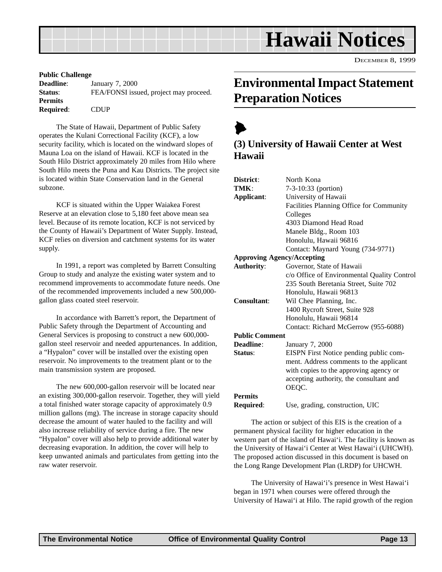<span id="page-12-0"></span>

#### **Public Challenge**

| <b>Deadline:</b> | January 7, 2000                        |
|------------------|----------------------------------------|
| Status:          | FEA/FONSI issued, project may proceed. |
| <b>Permits</b>   |                                        |
| <b>Required:</b> | <b>CDUP</b>                            |

The State of Hawaii, Department of Public Safety operates the Kulani Correctional Facility (KCF), a low security facility, which is located on the windward slopes of Mauna Loa on the island of Hawaii. KCF is located in the South Hilo District approximately 20 miles from Hilo where South Hilo meets the Puna and Kau Districts. The project site is located within State Conservation land in the General subzone.

KCF is situated within the Upper Waiakea Forest Reserve at an elevation close to 5,180 feet above mean sea level. Because of its remote location, KCF is not serviced by the County of Hawaii's Department of Water Supply. Instead, KCF relies on diversion and catchment systems for its water supply.

In 1991, a report was completed by Barrett Consulting Group to study and analyze the existing water system and to recommend improvements to accommodate future needs. One of the recommended improvements included a new 500,000 gallon glass coated steel reservoir.

In accordance with Barrett's report, the Department of Public Safety through the Department of Accounting and General Services is proposing to construct a new 600,000 gallon steel reservoir and needed appurtenances. In addition, a "Hypalon" cover will be installed over the existing open reservoir. No improvements to the treatment plant or to the main transmission system are proposed.

The new 600,000-gallon reservoir will be located near an existing 300,000-gallon reservoir. Together, they will yield a total finished water storage capacity of approximately 0.9 million gallons (mg). The increase in storage capacity should decrease the amount of water hauled to the facility and will also increase reliability of service during a fire. The new "Hypalon" cover will also help to provide additional water by decreasing evaporation. In addition, the cover will help to keep unwanted animals and particulates from getting into the raw water reservoir.

## **Environmental Impact Statement Preparation Notices**

### $\blacktriangleright$ **(3) University of Hawaii Center at West Hawaii**

| District:                         | North Kona                                  |
|-----------------------------------|---------------------------------------------|
| TMK:                              | 7-3-10:33 (portion)                         |
| Applicant:                        | University of Hawaii                        |
|                                   | Facilities Planning Office for Community    |
|                                   | Colleges                                    |
|                                   | 4303 Diamond Head Road                      |
|                                   | Manele Bldg., Room 103                      |
|                                   | Honolulu, Hawaii 96816                      |
|                                   | Contact: Maynard Young (734-9771)           |
| <b>Approving Agency/Accepting</b> |                                             |
| <b>Authority:</b>                 | Governor, State of Hawaii                   |
|                                   | c/o Office of Environmental Quality Control |
|                                   | 235 South Beretania Street, Suite 702       |
|                                   | Honolulu, Hawaii 96813                      |
| Consultant:                       | Wil Chee Planning, Inc.                     |
|                                   | 1400 Rycroft Street, Suite 928              |
|                                   | Honolulu, Hawaii 96814                      |
|                                   | Contact: Richard McGerrow (955-6088)        |
| <b>Public Comment</b>             |                                             |
| Deadline:                         | <b>January 7, 2000</b>                      |
| Status:                           | EISPN First Notice pending public com-      |
|                                   | ment. Address comments to the applicant     |
|                                   | with copies to the approving agency or      |
|                                   | accepting authority, the consultant and     |
|                                   | OEQC.                                       |
| <b>Permits</b>                    |                                             |
| Required:                         | Use, grading, construction, UIC             |
|                                   |                                             |

The action or subject of this EIS is the creation of a permanent physical facility for higher education in the western part of the island of Hawai'i. The facility is known as the University of Hawai'i Center at West Hawai'i (UHCWH). The proposed action discussed in this document is based on the Long Range Development Plan (LRDP) for UHCWH.

The University of Hawai'i's presence in West Hawai'i began in 1971 when courses were offered through the University of Hawai'i at Hilo. The rapid growth of the region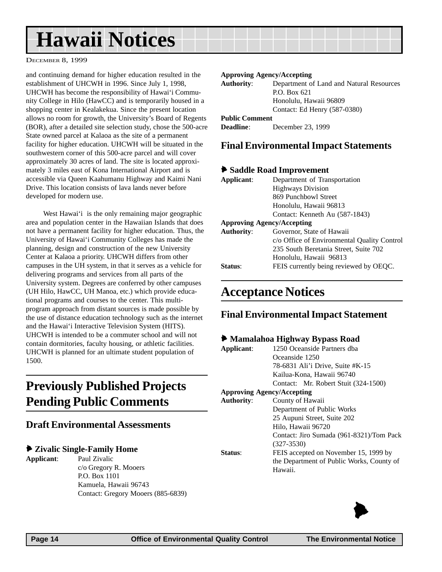## <span id="page-13-0"></span>**Hawaii Notices**

DECEMBER 8, 1999

and continuing demand for higher education resulted in the establishment of UHCWH in 1996. Since July 1, 1998, UHCWH has become the responsibility of Hawai'i Community College in Hilo (HawCC) and is temporarily housed in a shopping center in Kealakekua. Since the present location allows no room for growth, the University's Board of Regents (BOR), after a detailed site selection study, chose the 500-acre State owned parcel at Kalaoa as the site of a permanent facility for higher education. UHCWH will be situated in the southwestern corner of this 500-acre parcel and will cover approximately 30 acres of land. The site is located approximately 3 miles east of Kona International Airport and is accessible via Queen Kaahumanu Highway and Kaimi Nani Drive. This location consists of lava lands never before developed for modern use.

West Hawai'i is the only remaining major geographic area and population center in the Hawaiian Islands that does not have a permanent facility for higher education. Thus, the University of Hawai'i Community Colleges has made the planning, design and construction of the new University Center at Kalaoa a priority. UHCWH differs from other campuses in the UH system, in that it serves as a vehicle for delivering programs and services from all parts of the University system. Degrees are conferred by other campuses (UH Hilo, HawCC, UH Manoa, etc.) which provide educational programs and courses to the center. This multiprogram approach from distant sources is made possible by the use of distance education technology such as the internet and the Hawai'i Interactive Television System (HITS). UHCWH is intended to be a commuter school and will not contain dormitories, faculty housing, or athletic facilities. UHCWH is planned for an ultimate student population of 1500.

## **Previously Published Projects Pending Public Comments**

#### **Draft Environmental Assessments**

#### 6 **Zivalic Single-Family Home**

**Applicant**: Paul Zivalic c/o Gregory R. Mooers P.O. Box 1101 Kamuela, Hawaii 96743 Contact: Gregory Mooers (885-6839)

#### **Approving Agency/Accepting**

| <b>Authority:</b>     | Department of Land and Natural Resources |
|-----------------------|------------------------------------------|
|                       | P.O. Box 621                             |
|                       | Honolulu, Hawaii 96809                   |
|                       | Contact: Ed Henry (587-0380)             |
| <b>Public Comment</b> |                                          |
| <b>Deadline:</b>      | December 23, 1999                        |

### **Final Environmental Impact Statements**

#### 6 **Saddle Road Improvement**

| Department of Transportation                |
|---------------------------------------------|
| <b>Highways Division</b>                    |
| 869 Punchbowl Street                        |
| Honolulu, Hawaii 96813                      |
| Contact: Kenneth Au (587-1843)              |
| <b>Approving Agency/Accepting</b>           |
| Governor, State of Hawaii                   |
| c/o Office of Environmental Quality Control |
| 235 South Beretania Street, Suite 702       |
| Honolulu, Hawaii 96813                      |
| FEIS currently being reviewed by OEQC.      |
|                                             |

### **Acceptance Notices**

#### **Final Environmental Impact Statement**

#### 6 **Mamalahoa Highway Bypass Road**

| Applicant:                        | 1250 Oceanside Partners dba               |
|-----------------------------------|-------------------------------------------|
|                                   | Oceanside 1250                            |
|                                   | 78-6831 Ali'i Drive, Suite #K-15          |
|                                   | Kailua-Kona, Hawaii 96740                 |
|                                   | Contact: Mr. Robert Stuit (324-1500)      |
| <b>Approving Agency/Accepting</b> |                                           |
| <b>Authority:</b>                 | County of Hawaii                          |
|                                   | Department of Public Works                |
|                                   | 25 Aupuni Street, Suite 202               |
|                                   | Hilo, Hawaii 96720                        |
|                                   | Contact: Jiro Sumada (961-8321)/Tom Pack  |
|                                   | $(327 - 3530)$                            |
| <b>Status:</b>                    | FEIS accepted on November 15, 1999 by     |
|                                   | the Department of Public Works, County of |
|                                   | Hawaii.                                   |
|                                   |                                           |

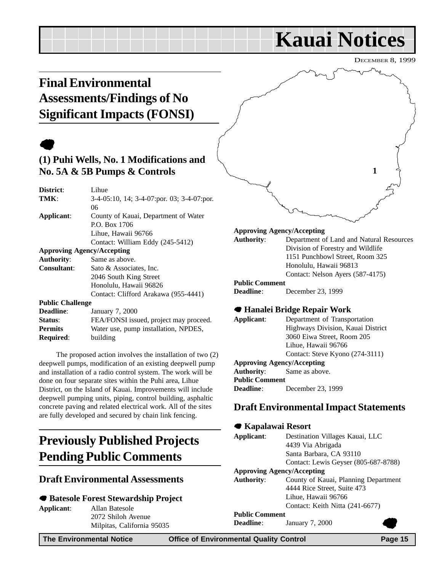## **Kauai Notices**

DECEMBER 8, 1999

**1**

## <span id="page-14-0"></span>**Final Environmental Assessments/Findings of No Significant Impacts (FONSI)**

## $\bullet$

#### **(1) Puhi Wells, No. 1 Modifications and No. 5A & 5B Pumps & Controls**

| District:                         | Lihue                                             |
|-----------------------------------|---------------------------------------------------|
| TMK:                              | $3-4-05:10$ , 14; $3-4-07:por.$ 03; $3-4-07:por.$ |
|                                   | 06                                                |
| Applicant:                        | County of Kauai, Department of Water              |
|                                   | P.O. Box 1706                                     |
|                                   | Lihue, Hawaii 96766                               |
|                                   | Contact: William Eddy (245-5412)                  |
| <b>Approving Agency/Accepting</b> |                                                   |
| <b>Authority:</b>                 | Same as above.                                    |
| Consultant:                       | Sato & Associates, Inc.                           |
|                                   | 2046 South King Street                            |
|                                   | Honolulu, Hawaii 96826                            |
|                                   | Contact: Clifford Arakawa (955-4441)              |
| <b>Public Challenge</b>           |                                                   |
| Deadline:                         | January 7, 2000                                   |
| Status:                           | FEA/FONSI issued, project may proceed.            |
| <b>Permits</b>                    | Water use, pump installation, NPDES,              |
| <b>Required:</b>                  | building                                          |
|                                   |                                                   |

The proposed action involves the installation of two (2) deepwell pumps, modification of an existing deepwell pump and installation of a radio control system. The work will be done on four separate sites within the Puhi area, Lihue District, on the Island of Kauai. Improvements will include deepwell pumping units, piping, control building, asphaltic concrete paving and related electrical work. All of the sites are fully developed and secured by chain link fencing.

## **Previously Published Projects Pending Public Comments**

#### **Draft Environmental Assessments**

#### 7 **Batesole Forest Stewardship Project**

**Applicant**: Allan Batesole 2072 Shiloh Avenue Milpitas, California 95035

**Authority**: Department of Land and Natural Resources Division of Forestry and Wildlife 1151 Punchbowl Street, Room 325 Honolulu, Hawaii 96813 Contact: Nelson Ayers (587-4175) **Public Comment Deadline**: December 23, 1999 7 **Hanalei Bridge Repair Work**

**Approving Agency/Accepting**

| Applicant:                 | Department of Transportation      |
|----------------------------|-----------------------------------|
|                            | Highways Division, Kauai District |
|                            | 3060 Eiwa Street, Room 205        |
|                            | Lihue, Hawaii 96766               |
|                            | Contact: Steve Kyono (274-3111)   |
| Approving Agency/Accepting |                                   |
|                            | <b>Authority:</b> Same as above.  |
| <b>Public Comment</b>      |                                   |
| <b>Deadline</b> :          | December 23, 1999                 |
|                            |                                   |

#### **Draft Environmental Impact Statements**

#### 7 **Kapalawai Resort Applicant**: Destination Villages Kauai, LLC 4439 Via Abrigada Santa Barbara, CA 93110 Contact: Lewis Geyser (805-687-8788) **Approving Agency/Accepting Authority**: County of Kauai, Planning Department 4444 Rice Street, Suite 473 Lihue, Hawaii 96766 Contact: Keith Nitta (241-6677) **Public Comment**

**Deadline**: January 7, 2000

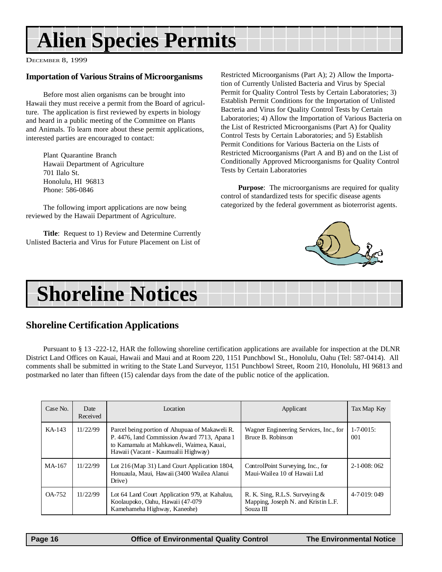## **Alien Species Permits**

DECEMBER 8, 1999

#### **Importation of Various Strains of Microorganisms**

Before most alien organisms can be brought into Hawaii they must receive a permit from the Board of agriculture. The application is first reviewed by experts in biology and heard in a public meeting of the Committee on Plants and Animals. To learn more about these permit applications, interested parties are encouraged to contact:

Plant Quarantine Branch Hawaii Department of Agriculture 701 Ilalo St. Honolulu, HI 96813 Phone: 586-0846

The following import applications are now being reviewed by the Hawaii Department of Agriculture.

**Title**: Request to 1) Review and Determine Currently Unlisted Bacteria and Virus for Future Placement on List of

Restricted Microorganisms (Part A); 2) Allow the Importation of Currently Unlisted Bacteria and Virus by Special Permit for Quality Control Tests by Certain Laboratories; 3) Establish Permit Conditions for the Importation of Unlisted Bacteria and Virus for Quality Control Tests by Certain Laboratories; 4) Allow the Importation of Various Bacteria on the List of Restricted Microorganisms (Part A) for Quality Control Tests by Certain Laboratories; and 5) Establish Permit Conditions for Various Bacteria on the Lists of Restricted Microorganisms (Part A and B) and on the List of Conditionally Approved Microorganisms for Quality Control Tests by Certain Laboratories

**Purpose:** The microorganisms are required for quality control of standardized tests for specific disease agents categorized by the federal government as bioterrorist agents.



## **Shoreline Notices**

#### **Shoreline Certification Applications**

Pursuant to § 13 -222-12, HAR the following shoreline certification applications are available for inspection at the DLNR District Land Offices on Kauai, Hawaii and Maui and at Room 220, 1151 Punchbowl St., Honolulu, Oahu (Tel: 587-0414). All comments shall be submitted in writing to the State Land Surveyor, 1151 Punchbowl Street, Room 210, Honolulu, HI 96813 and postmarked no later than fifteen (15) calendar days from the date of the public notice of the application.

| Case No. | Date<br>Received | Location                                                                                                                                                                          | Applicant                                                                            | Tax Map Key         |
|----------|------------------|-----------------------------------------------------------------------------------------------------------------------------------------------------------------------------------|--------------------------------------------------------------------------------------|---------------------|
| KA-143   | 11/22/99         | Parcel being portion of Ahupuaa of Makaweli R.<br>P. 4476, land Commission Award 7713, Apana 1<br>to Kamamalu at Mahkaweli, Waimea, Kauai,<br>Hawaii (Vacant - Kaumualii Highway) | Wagner Engineering Services, Inc., for<br>Bruce B. Robinson                          | $1-7-0015$ :<br>001 |
| MA-167   | 11/22/99         | Lot 216 (Map 31) Land Court Application 1804,<br>Honuaula, Maui, Hawaii (3400 Wailea Alanui<br>Drive)                                                                             | ControlPoint Surveying, Inc., for<br>Maui-Wailea 10 of Hawaii Ltd                    | $2 - 1 - 008:062$   |
| OA-752   | 11/22/99         | Lot 64 Land Court Application 979, at Kahaluu,<br>Koolaupoko, Oahu, Hawaii (47-079)<br>Kamehameha Highway, Kaneohe)                                                               | R. K. Sing, R.L.S. Surveying $&$<br>Mapping, Joseph N. and Kristin L.F.<br>Souza III | $4-7-019:049$       |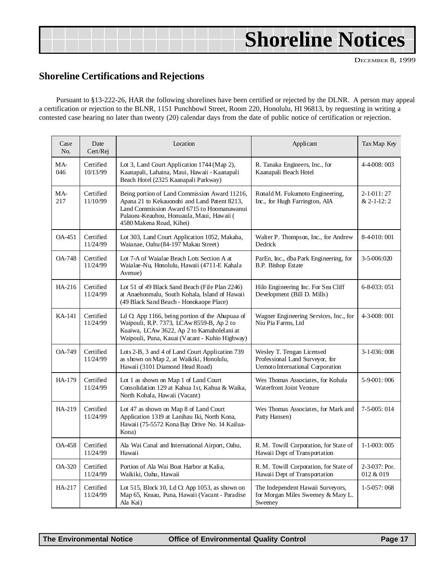## **Shoreline Notices**

DECEMBER 8, 1999

#### **Shoreline Certifications and Rejections**

Pursuant to §13-222-26, HAR the following shorelines have been certified or rejected by the DLNR. A person may appeal a certification or rejection to the BLNR, 1151 Punchbowl Street, Room 220, Honolulu, HI 96813, by requesting in writing a contested case hearing no later than twenty (20) calendar days from the date of public notice of certification or rejection.

| Case<br>No.   | Date<br>Cert/Rej      | Location                                                                                                                                                                                                             | Applicant                                                                                               | Tax Map Key                |
|---------------|-----------------------|----------------------------------------------------------------------------------------------------------------------------------------------------------------------------------------------------------------------|---------------------------------------------------------------------------------------------------------|----------------------------|
| MA-<br>046    | Certified<br>10/13/99 | Lot 3, Land Court Application 1744 (Map 2),<br>Kaanapali, Lahaina, Maui, Hawaii - Kaanapali<br>Beach Hotel (2325 Kaanapali Parkway)                                                                                  | R. Tanaka Engineers, Inc., for<br>Kaanapali Beach Hotel                                                 | 4-4-008:003                |
| MA-<br>217    | Certified<br>11/10/99 | Being portion of Land Commission Award 11216,<br>Apana 21 to Kekauonohi and Land Patent 8213,<br>Land Commission Award 6715 to Hoomanawanui<br>Palauea-Keauhou, Honuaula, Maui, Hawaii (<br>4580 Makena Road, Kihei) | Ronald M. Fukumoto Engineering,<br>Inc., for Hugh Farrington, AIA                                       |                            |
| OA-451        | Certified<br>11/24/99 | Lot 303, Land Court Application 1052, Makaha,<br>Waianae, Oahu (84-197 Makau Street)                                                                                                                                 | Walter P. Thompson, Inc., for Andrew<br>Dedrick                                                         | 8-4-010:001                |
| <b>OA-748</b> | Certified<br>11/24/99 | Lot 7-A of Waialae Beach Lots Section A at<br>Waialae-Nu, Honolulu, Hawaii (4711-E Kahala<br>Avenue)                                                                                                                 | ParEn, Inc., dba Park Engineering, for<br>B.P. Bishop Estate                                            | 3-5-006:020                |
| HA-216        | Certified<br>11/24/99 | Lot 51 of 49 Black Sand Beach (File Plan 2246)<br>at Anaehoomalu, South Kohala, Island of Hawaii<br>(49 Black Sand Beach - Honokaope Place)                                                                          | Hilo Engineering Inc. For Sea Cliff<br>Development (Bill D. Mills)                                      | 6-8-033:051                |
| KA-141        | Certified<br>11/24/99 | Ld $\alpha$ App 1166, being portion of the Ahupuaa of<br>Waipouli, R.P. 7373, LCAw 8559-B, Ap 2 to<br>Kuaiwa, LCAw 3622, Ap 2 to Kamaholelani at<br>Waipouli, Puna, Kauai (Vacant - Kuhio Highway)                   | Wagner Engineering Services, Inc., for<br>Niu Pia Farms, Ltd                                            | 4-3-008:001                |
| <b>OA-749</b> | Certified<br>11/24/99 | Lots 2-B, 3 and 4 of Land Court Application 739<br>as shown on Map 2, at Waikiki, Honolulu,<br>Hawaii (3101 Diamond Head Road)                                                                                       | Wesley T. Tengan Licensed<br>Professional Land Surveyor, for<br><b>Uemoto International Corporation</b> | 3-1-036:008                |
| HA-179        | Certified<br>11/24/99 | Lot 1 as shown on Map 1 of Land Court<br>Consolidation 129 at Kahua 1st, Kahua & Waika,<br>North Kohala, Hawaii (Vacant)                                                                                             | Wes Thomas Associates, for Kohala<br>Waterfront Joint Venture                                           | 5-9-001:006                |
| HA-219        | Certified<br>11/24/99 | Lot 47 as shown on Map 8 of Land Court<br>Application 1319 at Lanihau Iki, North Kona,<br>Hawaii (75-5572 Kona Bay Drive No. 14 Kailua-<br>Kona)                                                                     | Wes Thomas Associates, for Mark and<br>Patty Hansen)                                                    | 7-5-005: 014               |
| <b>OA-458</b> | Certified<br>11/24/99 | Ala Wai Canal and International Airport, Oahu,<br>Hawaii                                                                                                                                                             | R.M. Towill Corporation, for State of<br>Hawaii Dept of Transportation                                  | $1 - 1 - 003:005$          |
| OA-320        | Certified<br>11/24/99 | Portion of Ala Wai Boat Harbor at Kalia,<br>Waikiki, Oahu, Hawaii                                                                                                                                                    | R.M. Towill Corporation, for State of<br>Hawaii Dept of Transportation                                  | 2-3-037: Por.<br>012 & 019 |
| HA-217        | Certified<br>11/24/99 | Lot 515, Block 10, Ld Ct App 1053, as shown on<br>Map 65, Keaau, Puna, Hawaii (Vacant - Paradise<br>Ala Kai)                                                                                                         | The Independent Hawaii Surveyors,<br>for Morgan Miles Sweeney & Mary L.<br>Sweeney                      | 1-5-057:068                |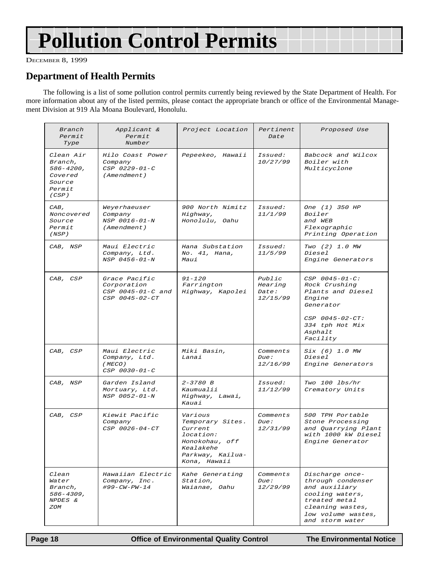## **Pollution Control Permits**

DECEMBER 8, 1999

#### **Department of Health Permits**

The following is a list of some pollution control permits currently being reviewed by the State Department of Health. For more information about any of the listed permits, please contact the appropriate branch or office of the Environmental Management Division at 919 Ala Moana Boulevard, Honolulu.

| Branch<br>Permit<br>Type                                                  | Applicant &<br>Permit<br>Number                                            | Project Location                                                                                                                     | Pertinent<br>Date                                  | Proposed Use                                                                                                                                           |
|---------------------------------------------------------------------------|----------------------------------------------------------------------------|--------------------------------------------------------------------------------------------------------------------------------------|----------------------------------------------------|--------------------------------------------------------------------------------------------------------------------------------------------------------|
| Clean Air<br>Branch,<br>586-4200,<br>Covered<br>Source<br>Permit<br>(CSP) | Hilo Coast Power<br>Company<br>$CSP$ 0229-01-C<br>(Amendment)              | Pepeekeo, Hawaii                                                                                                                     | Issued:<br>10/27/99                                | Babcock and Wilcox<br>Boiler with<br>Multicyclone                                                                                                      |
| CAB,<br>Noncovered<br><i>Source</i><br><i>Permit</i><br>(NSP)             | Weyerhaeuser<br>Company<br>NSP 0016-01-N<br>(Amendment)                    | 900 North Nimitz<br>Highway,<br>Honolulu, Oahu                                                                                       | <i>Issued:</i><br>11/1/99                          | One (1) 350 HP<br>Boiler<br>and WEB<br>Flexographic<br>Printing Operation                                                                              |
| CAB, NSP                                                                  | Maui Electric<br>Company, Ltd.<br>NSP 0456-01-N                            | Hana Substation<br>No. 41, Hana,<br>Maui                                                                                             | Issued:<br>11/5/99                                 | Two (2) 1.0 MW<br><i>Diesel</i><br><i>Engine Generators</i>                                                                                            |
| CAB, CSP                                                                  | Grace Pacific<br>Corporation<br>$CSP$ 0045-01-C and<br>$CSP$ 0045-02- $CT$ | $91 - 120$<br>Farrington<br>Highway, Kapolei                                                                                         | P u b l i c<br>Hearing<br><i>Date:</i><br>12/15/99 | $CSP$ 0045-01- $C:$<br>Rock Crushing<br>Plants and Diesel<br>Engine<br>Generator<br>$CSP$ 0045-02- $CT:$<br>334 tph Hot Mix<br>Asphalt<br>Facility     |
| CAB, CSP                                                                  | Maui Electric<br>Company, Ltd.<br>(MECO)<br>$CSP$ 0030-01-C                | Miki Basin,<br>Lanai                                                                                                                 | Commonets<br><i>Due:</i><br>12/16/99               | Six (6) 1.0 MW<br><i>Diesel</i><br>Engine Generators                                                                                                   |
| CAB, NSP                                                                  | Garden Island<br>Mortuary, Ltd.<br>NSP 0052-01-N                           | $2 - 3780 B$<br>Kaumualii<br>Highway, Lawai,<br>Kauai                                                                                | <i>Issued:</i><br>11/12/99                         | Two 100 lbs/hr<br>Crematory Units                                                                                                                      |
| CAB, CSP                                                                  | Kiewit Pacific<br>Company<br>CSP 0026-04-CT                                | <i>Various</i><br>Temporary Sites.<br>Current<br><i>location:</i><br>Honokohau, off<br>Kealakehe<br>Parkway, Kailua-<br>Kona, Hawaii | Comments<br><i>Due:</i><br>12/31/99                | 500 TPH Portable<br>Stone Processing<br>and Quarrying Plant<br>with 1000 kW Diesel<br>Engine Generator                                                 |
| Clean<br>Water<br>Branch,<br>586-4309,<br>NPDES &<br><i>ZOM</i>           | Hawaiian Electric<br>Company, Inc.<br>$#99 - CW - PW - 14$                 | Kahe Generating<br><i>Station,</i><br>Waianae, Oahu                                                                                  | Comments<br>Due:<br>12/29/99                       | Discharge once-<br>through condenser<br>and auxiliary<br>cooling waters,<br>treated metal<br>cleaning wastes,<br>low volume wastes,<br>and storm water |

 **Page 18 Control Control Control Control Page 18 Control Page 18 Control Page 18 Control Page 18 Control Page 18 Control Page 18 Control Page 18 Control Page 18 Control Page 18 Control Page 18 Contro**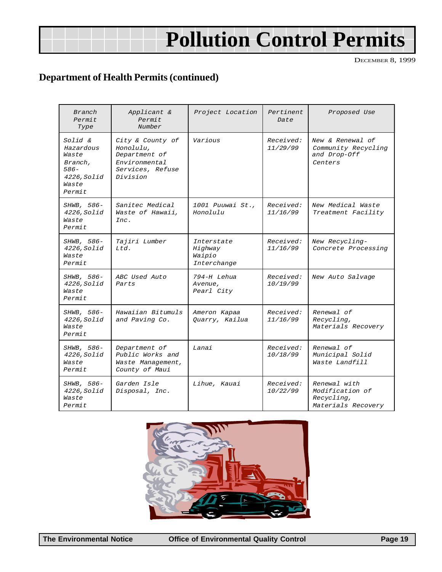## **Pollution Control Permits**

DECEMBER 8, 1999

### **Department of Health Permits (continued)**

| Branch<br>Permit<br>Type                                                             | Applicant &<br>Permit<br>Number                                                                 | Project Location                               | Pertinent<br>Date     | Proposed Use                                                        |
|--------------------------------------------------------------------------------------|-------------------------------------------------------------------------------------------------|------------------------------------------------|-----------------------|---------------------------------------------------------------------|
| Solid &<br>Hazardous<br>Waste<br>Branch,<br>$586-$<br>4226, Solid<br>Waste<br>Permit | City & County of<br>Honolulu.<br>Department of<br>Environmental<br>Services, Refuse<br>Division | Various                                        | Received:<br>11/29/99 | New & Renewal of<br>Community Recycling<br>and Drop-Off<br>Centers  |
| SHWB, 586-<br>4226, Solid<br>Waste<br>Permit                                         | Sanitec Medical<br><i>Waste of Hawaii,</i><br>Inc.                                              | 1001 Puuwai St.,<br>Honolulu                   | Received:<br>11/16/99 | New Medical Waste<br>Treatment Facility                             |
| SHWB, 586-<br>4226, Solid<br>Waste<br>Permit                                         | Tajiri Lumber<br>Ltd.                                                                           | Interstate<br>Highway<br>Waipio<br>Interchange | Received:<br>11/16/99 | New Recycling-<br>Concrete Processing                               |
| SHWB, 586-<br>4226, Solid<br>Waste<br>Permit                                         | ABC Used Auto<br>Parts                                                                          | 794-H Lehua<br>Avenue,<br>Pearl City           | Received:<br>10/19/99 | New Auto Salvage                                                    |
| SHWB, 586-<br>4226, Solid<br>Waste<br>Permit                                         | Hawaiian Bitumuls<br>and Paving Co.                                                             | Ameron Kapaa<br>Quarry, Kailua                 | Received:<br>11/16/99 | Renewal of<br>Recycling,<br>Materials Recovery                      |
| SHWB, 586-<br>4226, Solid<br>Waste<br>Permit                                         | Department of<br>Public Works and<br>Waste Management,<br>County of Maui                        | Lanai                                          | Received:<br>10/18/99 | Renewal of<br>Municipal Solid<br>Waste Landfill                     |
| SHWB, 586-<br>4226, Solid<br>Waste<br>Permit                                         | Garden Isle<br>Disposal, Inc.                                                                   | Lihue, Kauai                                   | Received:<br>10/22/99 | Renewal with<br>Modification of<br>Recycling,<br>Materials Recovery |



**The Environmental Notice Office of Environmental Quality Control Page 19**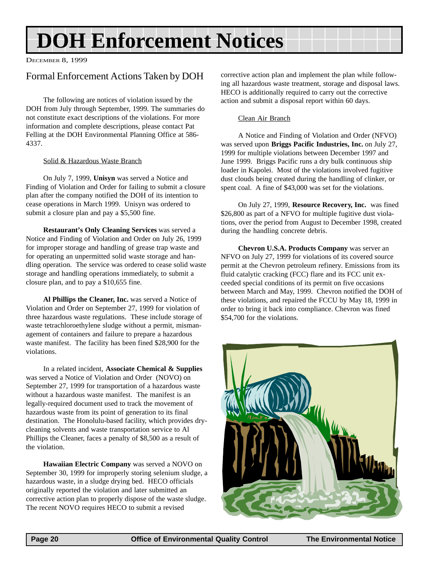## **DOH Enforcement Notices**

DECEMBER 8, 1999

#### Formal Enforcement Actions Taken by DOH

The following are notices of violation issued by the DOH from July through September, 1999. The summaries do not constitute exact descriptions of the violations. For more information and complete descriptions, please contact Pat Felling at the DOH Environmental Planning Office at 586- 4337.

#### Solid & Hazardous Waste Branch

On July 7, 1999, **Unisyn** was served a Notice and Finding of Violation and Order for failing to submit a closure plan after the company notified the DOH of its intention to cease operations in March 1999. Unisyn was ordered to submit a closure plan and pay a \$5,500 fine.

**Restaurant's Only Cleaning Services** was served a Notice and Finding of Violation and Order on July 26, 1999 for improper storage and handling of grease trap waste and for operating an unpermitted solid waste storage and handling operation. The service was ordered to cease solid waste storage and handling operations immediately, to submit a closure plan, and to pay a \$10,655 fine.

**Al Phillips the Cleaner, Inc.** was served a Notice of Violation and Order on September 27, 1999 for violation of three hazardous waste regulations. These include storage of waste tetrachloroethylene sludge without a permit, mismanagement of containers and failure to prepare a hazardous waste manifest. The facility has been fined \$28,900 for the violations.

In a related incident, **Associate Chemical & Supplies** was served a Notice of Violation and Order (NOVO) on September 27, 1999 for transportation of a hazardous waste without a hazardous waste manifest. The manifest is an legally-required document used to track the movement of hazardous waste from its point of generation to its final destination. The Honolulu-based facility, which provides drycleaning solvents and waste transportation service to Al Phillips the Cleaner, faces a penalty of \$8,500 as a result of the violation.

**Hawaiian Electric Company** was served a NOVO on September 30, 1999 for improperly storing selenium sludge, a hazardous waste, in a sludge drying bed. HECO officials originally reported the violation and later submitted an corrective action plan to properly dispose of the waste sludge. The recent NOVO requires HECO to submit a revised

corrective action plan and implement the plan while following all hazardous waste treatment, storage and disposal laws. HECO is additionally required to carry out the corrective action and submit a disposal report within 60 days.

#### Clean Air Branch

A Notice and Finding of Violation and Order (NFVO) was served upon **Briggs Pacific Industries, Inc.** on July 27, 1999 for multiple violations between December 1997 and June 1999. Briggs Pacific runs a dry bulk continuous ship loader in Kapolei. Most of the violations involved fugitive dust clouds being created during the handling of clinker, or spent coal. A fine of \$43,000 was set for the violations.

On July 27, 1999, **Resource Recovery, Inc.** was fined \$26,800 as part of a NFVO for multiple fugitive dust violations, over the period from August to December 1998, created during the handling concrete debris.

**Chevron U.S.A. Products Company** was server an NFVO on July 27, 1999 for violations of its covered source permit at the Chevron petroleum refinery. Emissions from its fluid catalytic cracking (FCC) flare and its FCC unit exceeded special conditions of its permit on five occasions between March and May, 1999. Chevron notified the DOH of these violations, and repaired the FCCU by May 18, 1999 in order to bring it back into compliance. Chevron was fined \$54,700 for the violations.

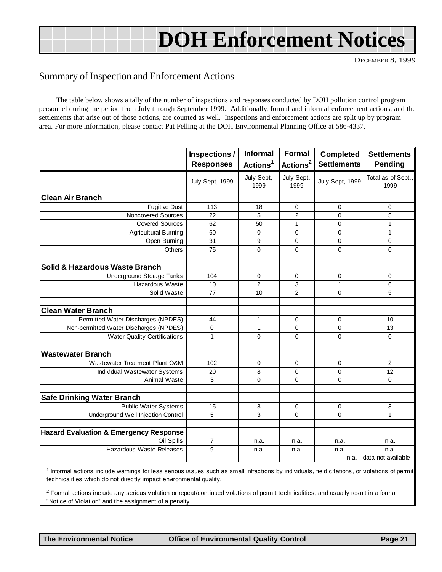## <span id="page-20-0"></span>**DOH Enforcement Notices**

DECEMBER 8, 1999

#### Summary of Inspection and Enforcement Actions

The table below shows a tally of the number of inspections and responses conducted by DOH pollution control program personnel during the period from July through September 1999. Additionally, formal and informal enforcement actions, and the settlements that arise out of those actions, are counted as well. Inspections and enforcement actions are split up by program area. For more information, please contact Pat Felling at the DOH Environmental Planning Office at 586-4337.

|                                                   | Inspections /    | <b>Informal</b>      | <b>Formal</b>        | Completed          | <b>Settlements</b>         |
|---------------------------------------------------|------------------|----------------------|----------------------|--------------------|----------------------------|
|                                                   | <b>Responses</b> | Actions <sup>1</sup> | Actions <sup>2</sup> | <b>Settlements</b> | <b>Pending</b>             |
|                                                   | July-Sept, 1999  | July-Sept,<br>1999   | July-Sept,<br>1999   | July-Sept, 1999    | Total as of Sept.,<br>1999 |
| <b>Clean Air Branch</b>                           |                  |                      |                      |                    |                            |
| <b>Fugitive Dust</b>                              | 113              | 18                   | 0                    | 0                  | 0                          |
| Noncovered Sources                                | 22               | 5                    | $\overline{c}$       | 0                  | 5                          |
| <b>Covered Sources</b>                            | 62               | 50                   | 1                    | 0                  | 1                          |
| <b>Agricultural Burning</b>                       | 60               | $\Omega$             | 0                    | 0                  | 1                          |
| Open Burning                                      | 31               | 9                    | 0                    | 0                  | $\mathbf 0$                |
| <b>Others</b>                                     | 75               | $\mathbf 0$          | 0                    | 0                  | $\mathbf 0$                |
| <b>Solid &amp; Hazardous Waste Branch</b>         |                  |                      |                      |                    |                            |
|                                                   |                  |                      |                      |                    |                            |
| <b>Underground Storage Tanks</b>                  | 104              | 0                    | 0                    | 0                  | 0                          |
| Hazardous Waste                                   | 10               | $\overline{2}$       | 3<br>$\overline{2}$  | 1                  | 6                          |
| Solid Waste                                       | 77               | 10                   |                      | 0                  | 5                          |
| <b>Clean Water Branch</b>                         |                  |                      |                      |                    |                            |
| Permitted Water Discharges (NPDES)                | 44               | $\mathbf{1}$         | $\Omega$             | 0                  | 10                         |
| Non-permitted Water Discharges (NPDES)            | 0                | 1                    | 0                    | 0                  | 13                         |
| <b>Water Quality Certifications</b>               | $\mathbf{1}$     | $\Omega$             | $\Omega$             | $\Omega$           | $\Omega$                   |
|                                                   |                  |                      |                      |                    |                            |
| <b>Wastewater Branch</b>                          |                  |                      |                      |                    |                            |
| Wastewater Treatment Plant O&M                    | 102              | $\Omega$             | $\Omega$             | 0                  | $\overline{2}$             |
| Individual Wastewater Systems                     | 20               | 8                    | $\Omega$             | 0                  | 12                         |
| Animal Waste                                      | 3                | $\Omega$             | $\Omega$             | $\Omega$           | $\Omega$                   |
|                                                   |                  |                      |                      |                    |                            |
| <b>Safe Drinking Water Branch</b>                 |                  |                      |                      |                    |                            |
| Public Water Systems                              | 15               | 8                    | 0                    | 0                  | 3                          |
| <b>Underground Well Injection Control</b>         | 5                | 3                    | $\Omega$             | $\Omega$           | 1                          |
| <b>Hazard Evaluation &amp; Emergency Response</b> |                  |                      |                      |                    |                            |
| Oil Spills                                        | $\overline{7}$   | n.a.                 | n.a.                 | n.a.               | n.a.                       |
| Hazardous Waste Releases                          | 9                | n.a.                 | n.a.                 | n.a.               | n.a.                       |
|                                                   |                  |                      |                      |                    | n.a. - data not available  |
|                                                   |                  |                      |                      |                    |                            |

<sup>1</sup> Informal actions include warnings for less serious issues such as small infractions by individuals, field citations, or violations of permit technicalities which do not directly impact environmental quality.

 $^2$  Formal actions include any serious violation or repeat/continued violations of permit technicalities, and usually result in a formal "Notice of Violation" and the assignment of a penalty.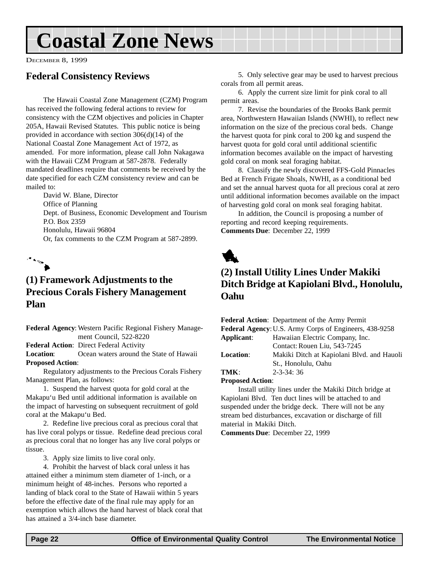## <span id="page-21-0"></span>**Coastal Zone News**

DECEMBER 8, 1999

### **Federal Consistency Reviews**

The Hawaii Coastal Zone Management (CZM) Program has received the following federal actions to review for consistency with the CZM objectives and policies in Chapter 205A, Hawaii Revised Statutes. This public notice is being provided in accordance with section 306(d)(14) of the National Coastal Zone Management Act of 1972, as amended. For more information, please call John Nakagawa with the Hawaii CZM Program at 587-2878. Federally mandated deadlines require that comments be received by the date specified for each CZM consistency review and can be mailed to:

David W. Blane, Director Office of Planning Dept. of Business, Economic Development and Tourism P.O. Box 2359 Honolulu, Hawaii 96804 Or, fax comments to the CZM Program at 587-2899.



### **(1) Framework Adjustments to the Precious Corals Fishery Management Plan**

**Federal Agency**: Western Pacific Regional Fishery Management Council, 522-8220

**Federal Action**: Direct Federal Activity

**Location**: Ocean waters around the State of Hawaii **Proposed Action**:

Regulatory adjustments to the Precious Corals Fishery Management Plan, as follows:

1. Suspend the harvest quota for gold coral at the Makapu'u Bed until additional information is available on the impact of harvesting on subsequent recruitment of gold coral at the Makapu'u Bed.

2. Redefine live precious coral as precious coral that has live coral polyps or tissue. Redefine dead precious coral as precious coral that no longer has any live coral polyps or tissue.

3. Apply size limits to live coral only.

4. Prohibit the harvest of black coral unless it has attained either a minimum stem diameter of 1-inch, or a minimum height of 48-inches. Persons who reported a landing of black coral to the State of Hawaii within 5 years before the effective date of the final rule may apply for an exemption which allows the hand harvest of black coral that has attained a 3/4-inch base diameter.

5. Only selective gear may be used to harvest precious corals from all permit areas.

6. Apply the current size limit for pink coral to all permit areas.

7. Revise the boundaries of the Brooks Bank permit area, Northwestern Hawaiian Islands (NWHI), to reflect new information on the size of the precious coral beds. Change the harvest quota for pink coral to 200 kg and suspend the harvest quota for gold coral until additional scientific information becomes available on the impact of harvesting gold coral on monk seal foraging habitat.

8. Classify the newly discovered FFS-Gold Pinnacles Bed at French Frigate Shoals, NWHI, as a conditional bed and set the annual harvest quota for all precious coral at zero until additional information becomes available on the impact of harvesting gold coral on monk seal foraging habitat.

In addition, the Council is proposing a number of reporting and record keeping requirements. **Comments Due**: December 22, 1999



#### **(2) Install Utility Lines Under Makiki Ditch Bridge at Kapiolani Blvd., Honolulu, Oahu**

|                         | <b>Federal Action:</b> Department of the Army Permit   |
|-------------------------|--------------------------------------------------------|
|                         | Federal Agency: U.S. Army Corps of Engineers, 438-9258 |
| Applicant:              | Hawaiian Electric Company, Inc.                        |
|                         | Contact: Rouen Liu, 543-7245                           |
| <b>Location:</b>        | Makiki Ditch at Kapiolani Blvd. and Hauoli             |
|                         | St., Honolulu, Oahu                                    |
| TMK:                    | $2 - 3 - 34$ : 36                                      |
| <b>Proposed Action:</b> |                                                        |
|                         |                                                        |

Install utility lines under the Makiki Ditch bridge at Kapiolani Blvd. Ten duct lines will be attached to and suspended under the bridge deck. There will not be any stream bed disturbances, excavation or discharge of fill material in Makiki Ditch.

**Comments Due**: December 22, 1999